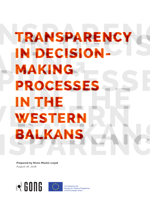### TRANSPARENCY N DECISION-AKING PROCESSES **THE** STER Ε

**Prepared by Nives Miošić-Lisjak** August 16, 2018

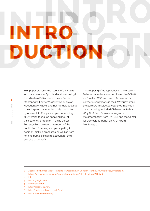## INTRO DUCTION

This paper presents the results of an inquiry into transparency of public decision-making in four Western Balkans countries – Serbia, Montenegro, Former Yugoslav Republic of Macedonia (FYROM) and Bosnia-Herzegovina. It was inspired by a similar study conducted by Access Info Europe and partners during 2017,<sup>1</sup> which found "an appalling lack of transparency of decision making across Europe, which prevents members of the public from following and participating in decision-making processes, as well as from holding public officials to account for their exercise of power"<sup>2</sup>

This mapping of transparency in the Western Balkans countries was coordinated by GONG3 - a Croatian CSO and one of Access Info's partner organizations in the 2017 study, while the partners in selected countries involved in data gathering included CRTA4 from Serbia, Why Not<sup>5</sup> from Bosnia-Herzegovina, Metamorphosis<sup>6</sup> from FYROM, and the Center for Democratic Transition<sup>7</sup> (CDT) from Montenegro.

1 Access Info Europe (2017). Mapping Transparency in Decision Making Around Europe, available at: https://www.access-info.org/wp-content/uploads/DMT-Findings2017-1.pdf

- 2 Ibid. p. 1
- 3 http://gong.hr/en/
- 4 http://crta.rs/en/
- 5 http://zastone.ba/en/
- 6 http://metamorphosis.org.mk/en/
- 7 http://www.en.cdtmn.org/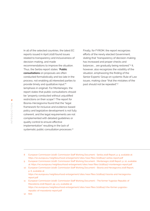In all of the selected countries, the latest EC reports issued in April 2018 found issues related to transparency and inclusiveness of decision-making, and made recommendations to improve the situation. Thus, the Serbia report states: "**Public consultations** on proposals are often conducted formalistically and too late in the process, not enabling all interested parties to provide timely and qualitative input." 8 (emphasis in original). For Montenegro, the report states that public consultations should be "properly conducted without unjustified restrictions on their scope".9 The report for Bosnia-Herzegovina found that the "legal framework for inclusive and evidence-based policy and legislative development is not fully coherent, and the legal requirements are not complemented with detailed guidelines or quality control to ensure effective implementation" resulting in the lack of systematic public consultation processes.<sup>10</sup>

Finally, for FYROM, the report recognizes efforts of the newly elected Government, stating that "transparency of decision-making has increased and proper checks and balances ... are gradually being restored."<sup>11</sup> It, however, also recognizes the volatility of the situation, emphasizing the finding of the Senior Experts' Group on systemic Rule of Law issues, making clear "that the mistakes of the past should not be repeated".12

- 8 European Commission (2018). Commission Staff Working Document Serbia 2018 Report, p. 9, available at: https://ec.europa.eu/neighbourhood-enlargement/sites/near/files/20180417-serbia-report.pdf
- 9 European Commission (2018). Commission Staff Working Document Montenegro 2018 Report, p. 10, available at: https://ec.europa.eu/neighbourhood-enlargement/sites/near/files/20180417-montenegro-report.pdf
- 10 European Commission (2018). Commission Staff Working Document Bosnia and Herzegovina 2018 Report, p. 6, available at: https://ec.europa.eu/neighbourhood-enlargement/sites/near/files/20180417-bosnia-and-herzegovina
	- report.pdf
- 11 European Commission (2018). Commission Staff Working Document The former Yugoslav Republic of Macedonia 2018 Report, pp. 4-5, available at: https://ec.europa.eu/neighbourhood-enlargement/sites/near/files/20180417-the-former-yugoslav republic-of-macedonia-report.pdf

12 Ibid.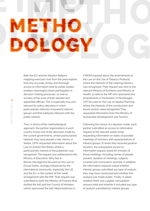### Both the EU and the Western Balkans mapping exercises start from the presumption that only accurate, timely and thorough access to information held by public bodies enables meaningful citizen participation in decision-making processes, as well as scrutiny of the work of their elected and appointed officials. This is especially true and relevant for policy decisions in which particularistic interests of powerful interest groups and their lobbyists intersect with the public interest.

 $\blacksquare$ 

Thus, in terms of the methodological approach, the partner organizations in each country chose one of the decisions made by the current governments, where particularistic interests may have played a role. Hence, in Serbia, CRTA requested information about the Law on School Text Books where a particularistic interest of the publishers was recognized. The request was addressed to the Ministry of Education. Why Not in Bosnia-Herzegovina focused on the Law on Excise Duties, strongly influenced by the international community, especially the US and the EU, in the context of the credit arrangement with the IMF. Their request was submitted to both the Ministry of Finance (that drafted the bill) and the Council of Ministers (which sponsored the bill). Metamorphosis in

FYROM inquired about the amendments to the Law on the Use of Tobacco Products, where the interests of the catering industry was recognized. Their request was sent to the relevant Ministry of Economy and Ministry of Health, as well as the MP who sponsored the amendments in Parliament. In Montenegro, CDT focused on the Law on Spatial Planning, where the interests of the construction and tourist sectors were recognized. They requested information from the Ministry of Sustainable Development and Tourism.

Following the choice of a decision made, each partner submitted an access to information request to the relevant public body, requesting information on dates of possible meetings of ministers with representatives of interest groups. If/when they received positive answers, the subsequent access to information request asked for minutes of those meetings, including names of people present, duration of meetings, subjects covered and conclusions reached. In addition, the information requests asked whether interest groups submitted any type of analysis they may have conducted and whether this analysis was made public. Finally, it asked whether there was a public consultation process held and whether it included any type of analysis submitted by interest groups.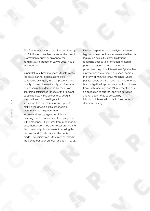The first requests were submitted on June 25, 2018, followed by either the second access to information request or an appeal for administrative silence on July 9, 2018 in all of the countries.

In parallel to submitting access to information requests, partner organizations also conducted an inquiry into the presence and quality of proactive availability of information on chosen public decisions, by means of searching official web-pages of the relevant public bodies. In this search they sought information on (1) meetings with representatives of interest groups prior to making the decision, (2) a list of official meetings held by government representatives, (3) agendas of those meetings, (4) lists of names of people present in the meetings, (5) minutes from meetings, (6) documents submitted by interest groups and the interested public relevant to making the decision, and (7) rationale for the decision made. The official web-sites were checked in the period between June 29 and July 9, 2018.

Finally, the partners also analysed relevant legislation in order to ascertain (1) whether the legislation explicitly states limitations regarding access to information related to public decision-making, (2) whether it proscribes the public interest test, (3) whether it proscribes the obligation to keep records in the form of minutes for all meetings where political decisions are made, (4) whether there is an obligation to proactively publish minutes from such meetings and (5), whether there is an obligation to publish lobbying activities and/or documents submitted by lobbyists/interested public in the course of decision-making.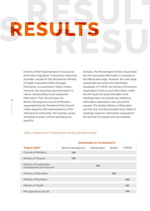RESUI

In terms of the implementation of access to information legislation, it should be noted that all bodies, except for the Macedonian Ministry of Health responded within the legal framework, as presented in Table 1 below. However, the responses were formalistic in nature, not providing much substantial information. Thus, for example, the Bosnia-Herzegovina Council of Ministers responded that the President of the Council meets regularly with representatives of the international community, the business sector and political actors, without providing any specifics.

Similarly, the Montenegrin ministry responded that the requested information is available at the official web-page. However, the web-page quoted did not contain the information requested. In FYROM, the Ministry of Economy responded it held no such information, while the MP could not quote the dates of all meetings held, nor provide any additional information requested in the second FoI request. The Serbian Ministry of Education was the only one that provided exact dates of meetings; however, information requested in the second FoI request was not available.

### *Table 1: Responses to FoI requests per country and relevant body*

|                                                    | <b>RESPONSES TO FOI REQUESTS</b> |            |            |              |
|----------------------------------------------------|----------------------------------|------------|------------|--------------|
| <b>PUBLIC BODY</b>                                 | Bosnia-Herzegovina               | Montenegro | Serbia     | <b>FYROM</b> |
| <b>Council of Ministers</b>                        | <b>YES</b>                       |            |            |              |
| Ministry of Finance                                | <b>YES</b>                       |            |            |              |
| Ministry of Sustainable<br>Development and Tourism |                                  | <b>YES</b> |            |              |
| Ministry of Education                              |                                  |            | <b>YES</b> |              |
| Ministry of Economy                                |                                  |            |            | <b>YES</b>   |
| Ministry of Health                                 |                                  |            |            | <b>NO</b>    |
| MP sponsoring the bill                             |                                  |            |            | <b>YES</b>   |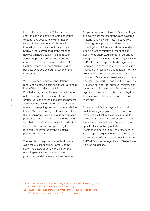Hence, the results of the FoI requests sent show that in none of the selected countries citizens have access to any information related to the meetings of officials with interest groups. More specifically, only in Serbia is there any record of the meeting; however, minutes containing information about people present, issues discussed or conclusions reached are not available at all. Neither is there any information regarding possible analyses or argumentation of the interest groups.

When it comes to public consultations regarding selected decisions, these were held in all of the countries except for Bosnia-Herzegovina. However, since in none of the countries the positions of interest groups were part of the consultations process, and given the lack of information described above, this mapping seems to corroborate the latest EC reports stating the formalistic rather than meaningful nature of public consultation processes. This finding is strengthened by the fact that none of the decisions adopted in the four countries was accompanied by their rationales, as revealed by the proactive publication inquiry.

The results of the proactive publication are even more disconcerting. Namely, of the seven indicators sought in this part of the mapping exercise, none were made proactively available in any of the countries. No proactive information on official meetings of government representatives are available. Citizens have no insight into meetings with interest groups prior to decision-making, including basic information about agendas, people present, minutes of meetings or documents submitted. This is not surprising though, given that in Bosnia-Herzegovina and FYROM is there no proscribed obligation to keep records of meetings. In Serbia there is an Ordinance<sup>13</sup> proscribing this obligation while in Montenegro there is an obligation to keep minutes of Government sessions and those of governmental working bodies.14 However, this rule does not apply to individual ministries or lower levels of government. Furthermore, the legislation does not provide for an obligation to proactively publish the minutes of those meetings.

Finally, all but Serbian legislation contain limitations regarding access to information related to political decision-making, while public interest tests are proscribed in all but the Macedonian legislation. When it comes specifically to lobbying activities, the Montenegrin Act on Lobbying proscribes in Article 34 an obligation of the person lobbied to prepare an official note, as does the one in FYROM. Bosnia-Herzegovina and Serbia have no such obligations.

<sup>13</sup> Ordinance on the Categories of Registration Material with Keeping Dates (Official Gazette of the Republic of Serbia 44/93)

<sup>14</sup> Rules of Procedure of the Government of the Republic of Montenegro (Official Gazzette of Montenegro 3/2012 and 51/2015)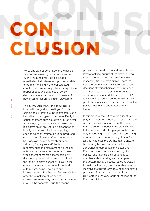# CLUSION

While one cannot generalize on the basis of four decision-making processes observed during this mapping exercise, it does nonetheless indicate serious problems related to decision-making in the four selected countries, in terms of opportunities to perform proper checks and balances of policy decisions where particularistic interests of powerful interest groups might play a role.

The overall lack of any kind of substantial information regarding meetings of public officials and interest groups' representatives is indicative of two types of problems. Firstly, in countries where administrative cultures suffer from a legacy of secrecy accompanied by legislative optimism, there is a clear need to legally proscribe obligations regarding specific types of information to be produced (e.g. minutes of meetings) and documents to be made available proactively and/or following FoI requests. While this recommendation entails amending the FoI acts in all of the selected countries, these types of amendments, accompanied by rigorous implementation oversight might in the long-run prove beneficial to raising the overall low levels of democratic political cultures among political elites and bureaucracies in the Western Balkans. On the other hand, political elites and their bureaucrats are merely reflections of societies in which they operate. Thus, the second

problem that needs to be addressed is the level of political culture of the citizenry, who need to become more aware of their own responsibilities as active citizens, demanding true, thorough and timely information about decisions affecting their everyday lives, such as prices of text books or amendments to spatial plans, or indeed, the terms of the IMF loans. Only by working on these two issues in parallel can one expect the increase of trust in political institutions and better overall legislation.

In this process, the EU has a significant role to play; the accession process and especially the pre-accession financing in all of the Western Balkans countries needs to be clearly linked to the track-records of aspiring countries not only in adopting, but rigorously implementing reforms and newly adopted legislation. And last, but not least, the EU institutions should be showing by example how the lack of adherence to democratic principles and European values carries strong negative political and financial consequences to member states. Lacking such examples, theWestern Balkans political elites as well as those in back-sliding member-states have no incentives to truly reform, leaving their citizens prone to influence of populist politicians disintegrating the very fabric of the idea of the European Union.